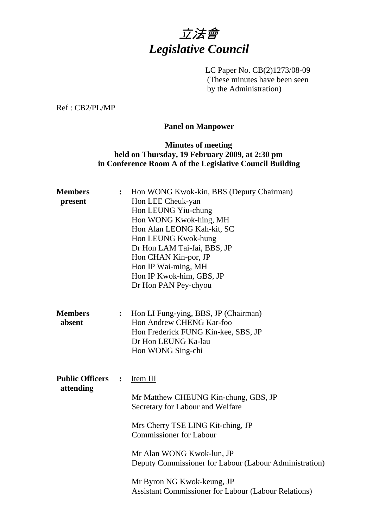

LC Paper No. CB(2)1273/08-09 (These minutes have been seen by the Administration)

Ref : CB2/PL/MP

# **Panel on Manpower**

# **Minutes of meeting held on Thursday, 19 February 2009, at 2:30 pm in Conference Room A of the Legislative Council Building**

| <b>Members</b><br>present           | $\ddot{\cdot}$ | Hon WONG Kwok-kin, BBS (Deputy Chairman)<br>Hon LEE Cheuk-yan<br>Hon LEUNG Yiu-chung<br>Hon WONG Kwok-hing, MH<br>Hon Alan LEONG Kah-kit, SC<br>Hon LEUNG Kwok-hung<br>Dr Hon LAM Tai-fai, BBS, JP<br>Hon CHAN Kin-por, JP<br>Hon IP Wai-ming, MH<br>Hon IP Kwok-him, GBS, JP<br>Dr Hon PAN Pey-chyou                                           |
|-------------------------------------|----------------|-------------------------------------------------------------------------------------------------------------------------------------------------------------------------------------------------------------------------------------------------------------------------------------------------------------------------------------------------|
| <b>Members</b><br>absent            | :              | Hon LI Fung-ying, BBS, JP (Chairman)<br>Hon Andrew CHENG Kar-foo<br>Hon Frederick FUNG Kin-kee, SBS, JP<br>Dr Hon LEUNG Ka-lau<br>Hon WONG Sing-chi                                                                                                                                                                                             |
| <b>Public Officers</b><br>attending | $\ddot{\cdot}$ | Item III<br>Mr Matthew CHEUNG Kin-chung, GBS, JP<br>Secretary for Labour and Welfare<br>Mrs Cherry TSE LING Kit-ching, JP<br><b>Commissioner for Labour</b><br>Mr Alan WONG Kwok-lun, JP<br>Deputy Commissioner for Labour (Labour Administration)<br>Mr Byron NG Kwok-keung, JP<br><b>Assistant Commissioner for Labour (Labour Relations)</b> |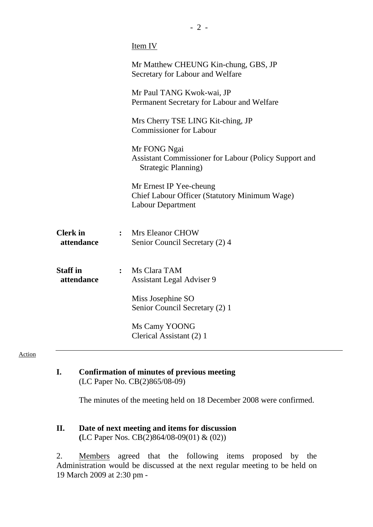|                               |                | Item IV                                                                                              |
|-------------------------------|----------------|------------------------------------------------------------------------------------------------------|
|                               |                | Mr Matthew CHEUNG Kin-chung, GBS, JP<br>Secretary for Labour and Welfare                             |
|                               |                | Mr Paul TANG Kwok-wai, JP<br>Permanent Secretary for Labour and Welfare                              |
|                               |                | Mrs Cherry TSE LING Kit-ching, JP<br><b>Commissioner for Labour</b>                                  |
|                               |                | Mr FONG Ngai<br>Assistant Commissioner for Labour (Policy Support and<br>Strategic Planning)         |
|                               |                | Mr Ernest IP Yee-cheung<br>Chief Labour Officer (Statutory Minimum Wage)<br><b>Labour Department</b> |
| <b>Clerk</b> in<br>attendance |                | : Mrs Eleanor CHOW<br>Senior Council Secretary (2) 4                                                 |
| <b>Staff in</b><br>attendance | $\ddot{\cdot}$ | Ms Clara TAM<br><b>Assistant Legal Adviser 9</b>                                                     |
|                               |                | Miss Josephine SO<br>Senior Council Secretary (2) 1                                                  |
|                               |                | Ms Camy YOONG<br>Clerical Assistant (2) 1                                                            |

**I. Confirmation of minutes of previous meeting**  (LC Paper No. CB(2)865/08-09)

The minutes of the meeting held on 18 December 2008 were confirmed.

2. Members agreed that the following items proposed by the Administration would be discussed at the next regular meeting to be held on 19 March 2009 at 2:30 pm -

**II. Date of next meeting and items for discussion (**LC Paper Nos. CB(2)864/08-09(01) & (02))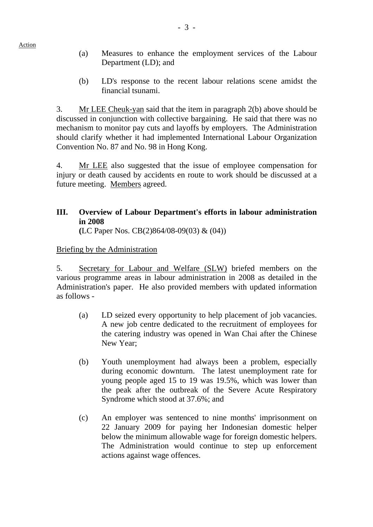- Action
- (a) Measures to enhance the employment services of the Labour Department (LD); and
- (b) LD's response to the recent labour relations scene amidst the financial tsunami.

3. Mr LEE Cheuk-yan said that the item in paragraph 2(b) above should be discussed in conjunction with collective bargaining. He said that there was no mechanism to monitor pay cuts and layoffs by employers. The Administration should clarify whether it had implemented International Labour Organization Convention No. 87 and No. 98 in Hong Kong.

4. Mr LEE also suggested that the issue of employee compensation for injury or death caused by accidents en route to work should be discussed at a future meeting. Members agreed.

# **III. Overview of Labour Department's efforts in labour administration in 2008**

**(**LC Paper Nos. CB(2)864/08-09(03) & (04))

### Briefing by the Administration

5. Secretary for Labour and Welfare (SLW) briefed members on the various programme areas in labour administration in 2008 as detailed in the Administration's paper. He also provided members with updated information as follows -

- (a) LD seized every opportunity to help placement of job vacancies. A new job centre dedicated to the recruitment of employees for the catering industry was opened in Wan Chai after the Chinese New Year;
- (b) Youth unemployment had always been a problem, especially during economic downturn. The latest unemployment rate for young people aged 15 to 19 was 19.5%, which was lower than the peak after the outbreak of the Severe Acute Respiratory Syndrome which stood at 37.6%; and
- (c) An employer was sentenced to nine months' imprisonment on 22 January 2009 for paying her Indonesian domestic helper below the minimum allowable wage for foreign domestic helpers. The Administration would continue to step up enforcement actions against wage offences.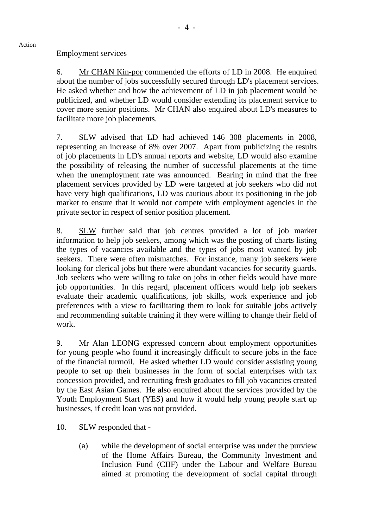### Employment services

Action

6. Mr CHAN Kin-por commended the efforts of LD in 2008. He enquired about the number of jobs successfully secured through LD's placement services. He asked whether and how the achievement of LD in job placement would be publicized, and whether LD would consider extending its placement service to cover more senior positions. Mr CHAN also enquired about LD's measures to facilitate more job placements.

7. SLW advised that LD had achieved 146 308 placements in 2008, representing an increase of 8% over 2007. Apart from publicizing the results of job placements in LD's annual reports and website, LD would also examine the possibility of releasing the number of successful placements at the time when the unemployment rate was announced. Bearing in mind that the free placement services provided by LD were targeted at job seekers who did not have very high qualifications, LD was cautious about its positioning in the job market to ensure that it would not compete with employment agencies in the private sector in respect of senior position placement.

8. SLW further said that job centres provided a lot of job market information to help job seekers, among which was the posting of charts listing the types of vacancies available and the types of jobs most wanted by job seekers. There were often mismatches. For instance, many job seekers were looking for clerical jobs but there were abundant vacancies for security guards. Job seekers who were willing to take on jobs in other fields would have more job opportunities. In this regard, placement officers would help job seekers evaluate their academic qualifications, job skills, work experience and job preferences with a view to facilitating them to look for suitable jobs actively and recommending suitable training if they were willing to change their field of work.

9. Mr Alan LEONG expressed concern about employment opportunities for young people who found it increasingly difficult to secure jobs in the face of the financial turmoil. He asked whether LD would consider assisting young people to set up their businesses in the form of social enterprises with tax concession provided, and recruiting fresh graduates to fill job vacancies created by the East Asian Games. He also enquired about the services provided by the Youth Employment Start (YES) and how it would help young people start up businesses, if credit loan was not provided.

- 10. SLW responded that
	- (a) while the development of social enterprise was under the purview of the Home Affairs Bureau, the Community Investment and Inclusion Fund (CIIF) under the Labour and Welfare Bureau aimed at promoting the development of social capital through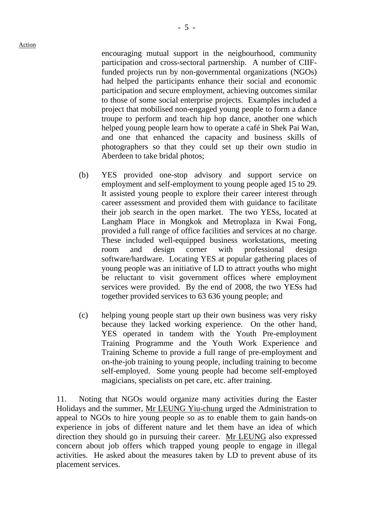encouraging mutual support in the neigbourhood, community participation and cross-sectoral partnership. A number of CIIFfunded projects run by non-governmental organizations (NGOs) had helped the participants enhance their social and economic participation and secure employment, achieving outcomes similar to those of some social enterprise projects. Examples included a project that mobilised non-engaged young people to form a dance troupe to perform and teach hip hop dance, another one which helped young people learn how to operate a café in Shek Pai Wan, and one that enhanced the capacity and business skills of photographers so that they could set up their own studio in Aberdeen to take bridal photos;

- (b) YES provided one-stop advisory and support service on employment and self-employment to young people aged 15 to 29. It assisted young people to explore their career interest through career assessment and provided them with guidance to facilitate their job search in the open market. The two YESs, located at Langham Place in Mongkok and Metroplaza in Kwai Fong, provided a full range of office facilities and services at no charge. These included well-equipped business workstations, meeting room and design corner with professional design software/hardware. Locating YES at popular gathering places of young people was an initiative of LD to attract youths who might be reluctant to visit government offices where employment services were provided. By the end of 2008, the two YESs had together provided services to 63 636 young people; and
- (c) helping young people start up their own business was very risky because they lacked working experience. On the other hand, YES operated in tandem with the Youth Pre-employment Training Programme and the Youth Work Experience and Training Scheme to provide a full range of pre-employment and on-the-job training to young people, including training to become self-employed. Some young people had become self-employed magicians, specialists on pet care, etc. after training.

11. Noting that NGOs would organize many activities during the Easter Holidays and the summer, Mr LEUNG Yiu-chung urged the Administration to appeal to NGOs to hire young people so as to enable them to gain hands-on experience in jobs of different nature and let them have an idea of which direction they should go in pursuing their career. Mr LEUNG also expressed concern about job offers which trapped young people to engage in illegal activities. He asked about the measures taken by LD to prevent abuse of its placement services.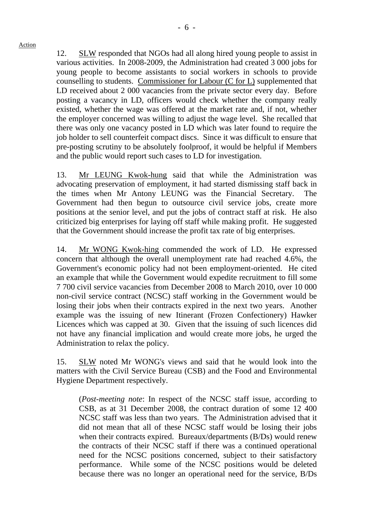12. SLW responded that NGOs had all along hired young people to assist in various activities. In 2008-2009, the Administration had created 3 000 jobs for young people to become assistants to social workers in schools to provide counselling to students. Commissioner for Labour (C for L) supplemented that LD received about 2 000 vacancies from the private sector every day. Before posting a vacancy in LD, officers would check whether the company really existed, whether the wage was offered at the market rate and, if not, whether the employer concerned was willing to adjust the wage level. She recalled that there was only one vacancy posted in LD which was later found to require the job holder to sell counterfeit compact discs. Since it was difficult to ensure that pre-posting scrutiny to be absolutely foolproof, it would be helpful if Members and the public would report such cases to LD for investigation.

13. Mr LEUNG Kwok-hung said that while the Administration was advocating preservation of employment, it had started dismissing staff back in the times when Mr Antony LEUNG was the Financial Secretary. The Government had then begun to outsource civil service jobs, create more positions at the senior level, and put the jobs of contract staff at risk. He also criticized big enterprises for laying off staff while making profit. He suggested that the Government should increase the profit tax rate of big enterprises.

14. Mr WONG Kwok-hing commended the work of LD. He expressed concern that although the overall unemployment rate had reached 4.6%, the Government's economic policy had not been employment-oriented. He cited an example that while the Government would expedite recruitment to fill some 7 700 civil service vacancies from December 2008 to March 2010, over 10 000 non-civil service contract (NCSC) staff working in the Government would be losing their jobs when their contracts expired in the next two years. Another example was the issuing of new Itinerant (Frozen Confectionery) Hawker Licences which was capped at 30. Given that the issuing of such licences did not have any financial implication and would create more jobs, he urged the Administration to relax the policy.

15. SLW noted Mr WONG's views and said that he would look into the matters with the Civil Service Bureau (CSB) and the Food and Environmental Hygiene Department respectively.

(*Post-meeting note*: In respect of the NCSC staff issue, according to CSB, as at 31 December 2008, the contract duration of some 12 400 NCSC staff was less than two years. The Administration advised that it did not mean that all of these NCSC staff would be losing their jobs when their contracts expired. Bureaux/departments (B/Ds) would renew the contracts of their NCSC staff if there was a continued operational need for the NCSC positions concerned, subject to their satisfactory performance. While some of the NCSC positions would be deleted because there was no longer an operational need for the service, B/Ds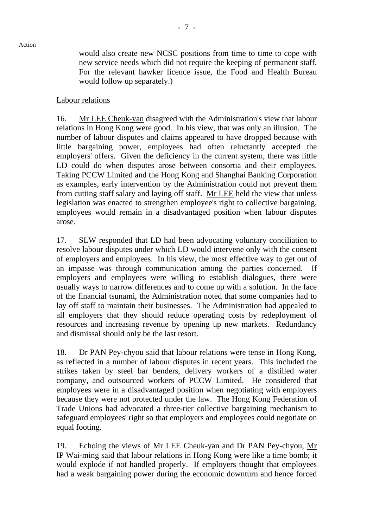would also create new NCSC positions from time to time to cope with new service needs which did not require the keeping of permanent staff. For the relevant hawker licence issue, the Food and Health Bureau would follow up separately.)

# Labour relations

16. Mr LEE Cheuk-yan disagreed with the Administration's view that labour relations in Hong Kong were good. In his view, that was only an illusion. The number of labour disputes and claims appeared to have dropped because with little bargaining power, employees had often reluctantly accepted the employers' offers. Given the deficiency in the current system, there was little LD could do when disputes arose between consortia and their employees. Taking PCCW Limited and the Hong Kong and Shanghai Banking Corporation as examples, early intervention by the Administration could not prevent them from cutting staff salary and laying off staff. Mr LEE held the view that unless legislation was enacted to strengthen employee's right to collective bargaining, employees would remain in a disadvantaged position when labour disputes arose.

17. SLW responded that LD had been advocating voluntary conciliation to resolve labour disputes under which LD would intervene only with the consent of employers and employees. In his view, the most effective way to get out of an impasse was through communication among the parties concerned. If employers and employees were willing to establish dialogues, there were usually ways to narrow differences and to come up with a solution. In the face of the financial tsunami, the Administration noted that some companies had to lay off staff to maintain their businesses. The Administration had appealed to all employers that they should reduce operating costs by redeployment of resources and increasing revenue by opening up new markets. Redundancy and dismissal should only be the last resort.

18. Dr PAN Pey-chyou said that labour relations were tense in Hong Kong, as reflected in a number of labour disputes in recent years. This included the strikes taken by steel bar benders, delivery workers of a distilled water company, and outsourced workers of PCCW Limited. He considered that employees were in a disadvantaged position when negotiating with employers because they were not protected under the law. The Hong Kong Federation of Trade Unions had advocated a three-tier collective bargaining mechanism to safeguard employees' right so that employers and employees could negotiate on equal footing.

19. Echoing the views of Mr LEE Cheuk-yan and Dr PAN Pey-chyou, Mr IP Wai-ming said that labour relations in Hong Kong were like a time bomb; it would explode if not handled properly. If employers thought that employees had a weak bargaining power during the economic downturn and hence forced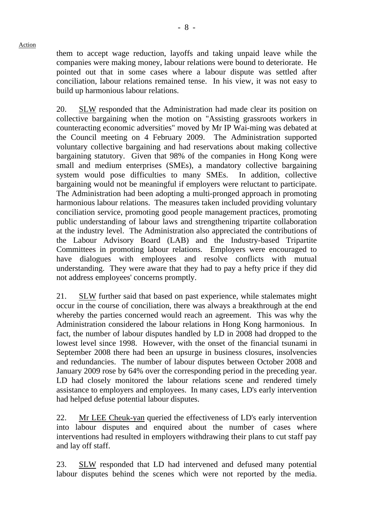them to accept wage reduction, layoffs and taking unpaid leave while the companies were making money, labour relations were bound to deteriorate. He pointed out that in some cases where a labour dispute was settled after conciliation, labour relations remained tense. In his view, it was not easy to build up harmonious labour relations.

20. SLW responded that the Administration had made clear its position on collective bargaining when the motion on "Assisting grassroots workers in counteracting economic adversities" moved by Mr IP Wai-ming was debated at the Council meeting on 4 February 2009. The Administration supported voluntary collective bargaining and had reservations about making collective bargaining statutory. Given that 98% of the companies in Hong Kong were small and medium enterprises (SMEs), a mandatory collective bargaining system would pose difficulties to many SMEs. In addition, collective bargaining would not be meaningful if employers were reluctant to participate. The Administration had been adopting a multi-pronged approach in promoting harmonious labour relations. The measures taken included providing voluntary conciliation service, promoting good people management practices, promoting public understanding of labour laws and strengthening tripartite collaboration at the industry level. The Administration also appreciated the contributions of the Labour Advisory Board (LAB) and the Industry-based Tripartite Committees in promoting labour relations. Employers were encouraged to have dialogues with employees and resolve conflicts with mutual understanding. They were aware that they had to pay a hefty price if they did not address employees' concerns promptly.

21. SLW further said that based on past experience, while stalemates might occur in the course of conciliation, there was always a breakthrough at the end whereby the parties concerned would reach an agreement. This was why the Administration considered the labour relations in Hong Kong harmonious. In fact, the number of labour disputes handled by LD in 2008 had dropped to the lowest level since 1998. However, with the onset of the financial tsunami in September 2008 there had been an upsurge in business closures, insolvencies and redundancies. The number of labour disputes between October 2008 and January 2009 rose by 64% over the corresponding period in the preceding year. LD had closely monitored the labour relations scene and rendered timely assistance to employers and employees. In many cases, LD's early intervention had helped defuse potential labour disputes.

22. Mr LEE Cheuk-yan queried the effectiveness of LD's early intervention into labour disputes and enquired about the number of cases where interventions had resulted in employers withdrawing their plans to cut staff pay and lay off staff.

23. SLW responded that LD had intervened and defused many potential labour disputes behind the scenes which were not reported by the media.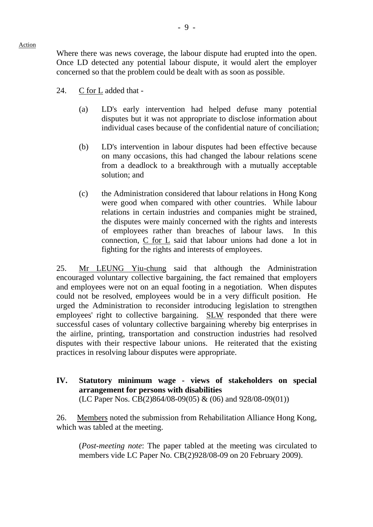Where there was news coverage, the labour dispute had erupted into the open. Once LD detected any potential labour dispute, it would alert the employer concerned so that the problem could be dealt with as soon as possible.

- 24. C for L added that
	- (a) LD's early intervention had helped defuse many potential disputes but it was not appropriate to disclose information about individual cases because of the confidential nature of conciliation;
	- (b) LD's intervention in labour disputes had been effective because on many occasions, this had changed the labour relations scene from a deadlock to a breakthrough with a mutually acceptable solution; and
	- (c) the Administration considered that labour relations in Hong Kong were good when compared with other countries. While labour relations in certain industries and companies might be strained, the disputes were mainly concerned with the rights and interests of employees rather than breaches of labour laws. In this connection, C for L said that labour unions had done a lot in fighting for the rights and interests of employees.

25. Mr LEUNG Yiu-chung said that although the Administration encouraged voluntary collective bargaining, the fact remained that employers and employees were not on an equal footing in a negotiation. When disputes could not be resolved, employees would be in a very difficult position. He urged the Administration to reconsider introducing legislation to strengthen employees' right to collective bargaining. SLW responded that there were successful cases of voluntary collective bargaining whereby big enterprises in the airline, printing, transportation and construction industries had resolved disputes with their respective labour unions. He reiterated that the existing practices in resolving labour disputes were appropriate.

**IV. Statutory minimum wage - views of stakeholders on special arrangement for persons with disabilities**  (LC Paper Nos. CB(2)864/08-09(05) & (06) and 928/08-09(01))

26. Members noted the submission from Rehabilitation Alliance Hong Kong, which was tabled at the meeting.

(*Post-meeting note*: The paper tabled at the meeting was circulated to members vide LC Paper No. CB(2)928/08-09 on 20 February 2009).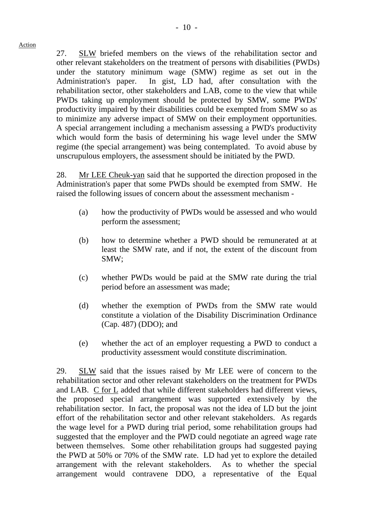27. SLW briefed members on the views of the rehabilitation sector and other relevant stakeholders on the treatment of persons with disabilities (PWDs) under the statutory minimum wage (SMW) regime as set out in the Administration's paper. In gist, LD had, after consultation with the rehabilitation sector, other stakeholders and LAB, come to the view that while PWDs taking up employment should be protected by SMW, some PWDs' productivity impaired by their disabilities could be exempted from SMW so as to minimize any adverse impact of SMW on their employment opportunities. A special arrangement including a mechanism assessing a PWD's productivity which would form the basis of determining his wage level under the SMW regime (the special arrangement) was being contemplated. To avoid abuse by unscrupulous employers, the assessment should be initiated by the PWD.

28. Mr LEE Cheuk-yan said that he supported the direction proposed in the Administration's paper that some PWDs should be exempted from SMW. He raised the following issues of concern about the assessment mechanism -

- (a) how the productivity of PWDs would be assessed and who would perform the assessment;
- (b) how to determine whether a PWD should be remunerated at at least the SMW rate, and if not, the extent of the discount from SMW;
- (c) whether PWDs would be paid at the SMW rate during the trial period before an assessment was made;
- (d) whether the exemption of PWDs from the SMW rate would constitute a violation of the Disability Discrimination Ordinance (Cap. 487) (DDO); and
- (e) whether the act of an employer requesting a PWD to conduct a productivity assessment would constitute discrimination.

29. SLW said that the issues raised by Mr LEE were of concern to the rehabilitation sector and other relevant stakeholders on the treatment for PWDs and LAB. C for L added that while different stakeholders had different views, the proposed special arrangement was supported extensively by the rehabilitation sector. In fact, the proposal was not the idea of LD but the joint effort of the rehabilitation sector and other relevant stakeholders. As regards the wage level for a PWD during trial period, some rehabilitation groups had suggested that the employer and the PWD could negotiate an agreed wage rate between themselves. Some other rehabilitation groups had suggested paying the PWD at 50% or 70% of the SMW rate. LD had yet to explore the detailed arrangement with the relevant stakeholders. As to whether the special arrangement would contravene DDO, a representative of the Equal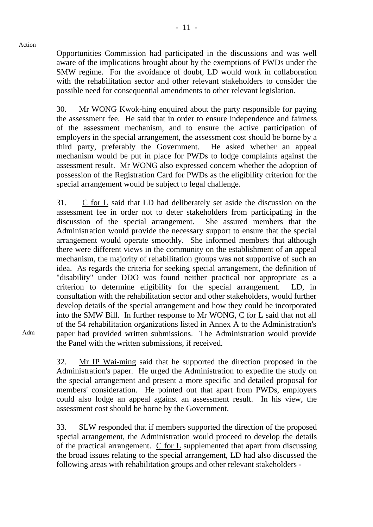Opportunities Commission had participated in the discussions and was well aware of the implications brought about by the exemptions of PWDs under the SMW regime. For the avoidance of doubt, LD would work in collaboration with the rehabilitation sector and other relevant stakeholders to consider the possible need for consequential amendments to other relevant legislation.

30. Mr WONG Kwok-hing enquired about the party responsible for paying the assessment fee. He said that in order to ensure independence and fairness of the assessment mechanism, and to ensure the active participation of employers in the special arrangement, the assessment cost should be borne by a third party, preferably the Government. He asked whether an appeal mechanism would be put in place for PWDs to lodge complaints against the assessment result. Mr WONG also expressed concern whether the adoption of possession of the Registration Card for PWDs as the eligibility criterion for the special arrangement would be subject to legal challenge.

31. C for L said that LD had deliberately set aside the discussion on the assessment fee in order not to deter stakeholders from participating in the discussion of the special arrangement. She assured members that the Administration would provide the necessary support to ensure that the special arrangement would operate smoothly. She informed members that although there were different views in the community on the establishment of an appeal mechanism, the majority of rehabilitation groups was not supportive of such an idea. As regards the criteria for seeking special arrangement, the definition of "disability" under DDO was found neither practical nor appropriate as a criterion to determine eligibility for the special arrangement. LD, in consultation with the rehabilitation sector and other stakeholders, would further develop details of the special arrangement and how they could be incorporated into the SMW Bill. In further response to Mr WONG, C for L said that not all of the 54 rehabilitation organizations listed in Annex A to the Administration's paper had provided written submissions. The Administration would provide the Panel with the written submissions, if received.

32. Mr IP Wai-ming said that he supported the direction proposed in the Administration's paper. He urged the Administration to expedite the study on the special arrangement and present a more specific and detailed proposal for members' consideration. He pointed out that apart from PWDs, employers could also lodge an appeal against an assessment result. In his view, the assessment cost should be borne by the Government.

33. SLW responded that if members supported the direction of the proposed special arrangement, the Administration would proceed to develop the details of the practical arrangement. C for L supplemented that apart from discussing the broad issues relating to the special arrangement, LD had also discussed the following areas with rehabilitation groups and other relevant stakeholders -

Adm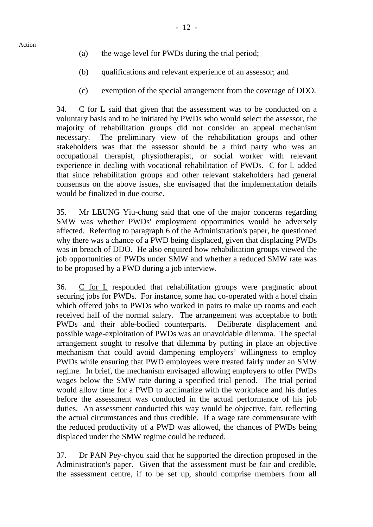- (a) the wage level for PWDs during the trial period;
- (b) qualifications and relevant experience of an assessor; and
- (c) exemption of the special arrangement from the coverage of DDO.

34. C for L said that given that the assessment was to be conducted on a voluntary basis and to be initiated by PWDs who would select the assessor, the majority of rehabilitation groups did not consider an appeal mechanism necessary. The preliminary view of the rehabilitation groups and other stakeholders was that the assessor should be a third party who was an occupational therapist, physiotherapist, or social worker with relevant experience in dealing with vocational rehabilitation of PWDs. C for L added that since rehabilitation groups and other relevant stakeholders had general consensus on the above issues, she envisaged that the implementation details would be finalized in due course.

35. Mr LEUNG Yiu-chung said that one of the major concerns regarding SMW was whether PWDs' employment opportunities would be adversely affected. Referring to paragraph 6 of the Administration's paper, he questioned why there was a chance of a PWD being displaced, given that displacing PWDs was in breach of DDO. He also enquired how rehabilitation groups viewed the job opportunities of PWDs under SMW and whether a reduced SMW rate was to be proposed by a PWD during a job interview.

36. C for L responded that rehabilitation groups were pragmatic about securing jobs for PWDs. For instance, some had co-operated with a hotel chain which offered jobs to PWDs who worked in pairs to make up rooms and each received half of the normal salary. The arrangement was acceptable to both PWDs and their able-bodied counterparts. Deliberate displacement and possible wage-exploitation of PWDs was an unavoidable dilemma. The special arrangement sought to resolve that dilemma by putting in place an objective mechanism that could avoid dampening employers' willingness to employ PWDs while ensuring that PWD employees were treated fairly under an SMW regime. In brief, the mechanism envisaged allowing employers to offer PWDs wages below the SMW rate during a specified trial period. The trial period would allow time for a PWD to acclimatize with the workplace and his duties before the assessment was conducted in the actual performance of his job duties. An assessment conducted this way would be objective, fair, reflecting the actual circumstances and thus credible. If a wage rate commensurate with the reduced productivity of a PWD was allowed, the chances of PWDs being displaced under the SMW regime could be reduced.

37. Dr PAN Pey-chyou said that he supported the direction proposed in the Administration's paper. Given that the assessment must be fair and credible, the assessment centre, if to be set up, should comprise members from all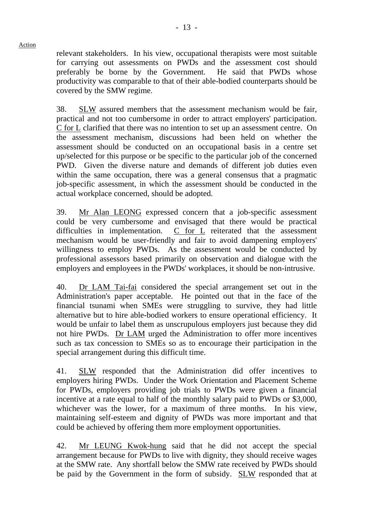relevant stakeholders. In his view, occupational therapists were most suitable for carrying out assessments on PWDs and the assessment cost should preferably be borne by the Government. He said that PWDs whose productivity was comparable to that of their able-bodied counterparts should be covered by the SMW regime.

38. SLW assured members that the assessment mechanism would be fair, practical and not too cumbersome in order to attract employers' participation. C for L clarified that there was no intention to set up an assessment centre. On the assessment mechanism, discussions had been held on whether the assessment should be conducted on an occupational basis in a centre set up/selected for this purpose or be specific to the particular job of the concerned PWD. Given the diverse nature and demands of different job duties even within the same occupation, there was a general consensus that a pragmatic job-specific assessment, in which the assessment should be conducted in the actual workplace concerned, should be adopted.

39. Mr Alan LEONG expressed concern that a job-specific assessment could be very cumbersome and envisaged that there would be practical difficulties in implementation. C for L reiterated that the assessment mechanism would be user-friendly and fair to avoid dampening employers' willingness to employ PWDs. As the assessment would be conducted by professional assessors based primarily on observation and dialogue with the employers and employees in the PWDs' workplaces, it should be non-intrusive.

40. Dr LAM Tai-fai considered the special arrangement set out in the Administration's paper acceptable. He pointed out that in the face of the financial tsunami when SMEs were struggling to survive, they had little alternative but to hire able-bodied workers to ensure operational efficiency. It would be unfair to label them as unscrupulous employers just because they did not hire PWDs. Dr LAM urged the Administration to offer more incentives such as tax concession to SMEs so as to encourage their participation in the special arrangement during this difficult time.

41. SLW responded that the Administration did offer incentives to employers hiring PWDs. Under the Work Orientation and Placement Scheme for PWDs, employers providing job trials to PWDs were given a financial incentive at a rate equal to half of the monthly salary paid to PWDs or \$3,000, whichever was the lower, for a maximum of three months. In his view, maintaining self-esteem and dignity of PWDs was more important and that could be achieved by offering them more employment opportunities.

42. Mr LEUNG Kwok-hung said that he did not accept the special arrangement because for PWDs to live with dignity, they should receive wages at the SMW rate. Any shortfall below the SMW rate received by PWDs should be paid by the Government in the form of subsidy. SLW responded that at